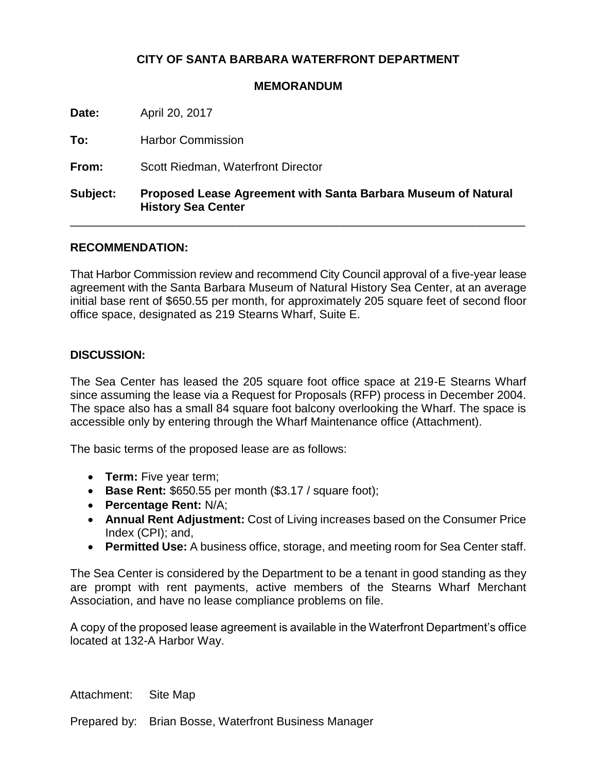# **CITY OF SANTA BARBARA WATERFRONT DEPARTMENT**

#### **MEMORANDUM**

**Date:** April 20, 2017

**To:** Harbor Commission

**From:** Scott Riedman, Waterfront Director

## **Subject: Proposed Lease Agreement with Santa Barbara Museum of Natural History Sea Center**

\_\_\_\_\_\_\_\_\_\_\_\_\_\_\_\_\_\_\_\_\_\_\_\_\_\_\_\_\_\_\_\_\_\_\_\_\_\_\_\_\_\_\_\_\_\_\_\_\_\_\_\_\_\_\_\_\_\_\_\_\_\_\_\_\_\_\_\_\_\_

## **RECOMMENDATION:**

That Harbor Commission review and recommend City Council approval of a five-year lease agreement with the Santa Barbara Museum of Natural History Sea Center, at an average initial base rent of \$650.55 per month, for approximately 205 square feet of second floor office space, designated as 219 Stearns Wharf, Suite E.

## **DISCUSSION:**

The Sea Center has leased the 205 square foot office space at 219-E Stearns Wharf since assuming the lease via a Request for Proposals (RFP) process in December 2004. The space also has a small 84 square foot balcony overlooking the Wharf. The space is accessible only by entering through the Wharf Maintenance office (Attachment).

The basic terms of the proposed lease are as follows:

- **Term:** Five year term;
- **Base Rent:** \$650.55 per month (\$3.17 / square foot);
- **Percentage Rent:** N/A;
- **Annual Rent Adjustment:** Cost of Living increases based on the Consumer Price Index (CPI); and,
- **Permitted Use:** A business office, storage, and meeting room for Sea Center staff.

The Sea Center is considered by the Department to be a tenant in good standing as they are prompt with rent payments, active members of the Stearns Wharf Merchant Association, and have no lease compliance problems on file.

A copy of the proposed lease agreement is available in the Waterfront Department's office located at 132-A Harbor Way.

Attachment: Site Map

Prepared by: Brian Bosse, Waterfront Business Manager